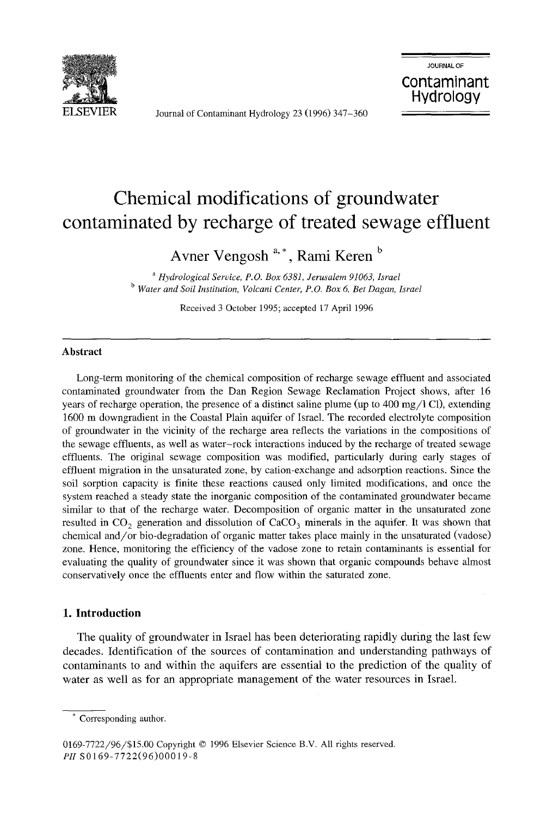

Journal of Contaminant Hydrology 23 (1996) 347-360



# **Chemical modifications of groundwater contaminated by recharge of treated sewage effluent**

A **vner Vengosh** a, \* , **Rami Keren <sup>b</sup>**

<sup>a</sup>*Hydrological Service, P,O. Box* 6381, *Jerusalem 91063, Israel*  <sup>b</sup>*Water and Soil Institution, Volcani Center, P.O. Box* 6, *Bet Dagan, Israel* 

Received 3 October 1995; accepted 17 April 1996

#### **Abstract**

Long-term monitoring of the chemical composition of recharge sewage effluent and associated contaminated groundwater from the Dan Region Sewage Reclamation Project shows, after 16 years of recharge operation, the presence of a distinct saline plume (up to  $400 \text{ mg}/\text{l}$  Cl), extending 1600 m downgradient in the Coastal Plain aquifer of Israel. The recorded electrolyte composition of groundwater in the vicinity of the recharge area reflects the variations in the compositions of the sewage effluents, as well as water-rock interactions induced by the recharge of treated sewage effluents. The original sewage composition was modified, particularly during early stages of effluent migration in the unsaturated zone, by cation-exchange and adsorption reactions. Since the soil sorption capacity is finite these reactions caused only limited modifications, and once the system reached a steady state the inorganic composition of the contaminated groundwater became similar to that of the recharge water. Decomposition of organic matter in the unsaturated zone resulted in  $CO_2$  generation and dissolution of  $CaCO_3$  minerals in the aquifer. It was shown that chemical and/or bio-degradation of organic matter takes place mainly in the unsaturated (vadose) zone. Hence, monitoring the efficiency of the vadose zone to retain contaminants is essential for evaluating the quality of groundwater since it was shown that organic compounds behave almost conservatively once the effluents enter and flow within the saturated zone.

#### **1. Introduction**

The quality of groundwater in Israel has been deteriorating rapidly during the last few decades. Identification of the sources of contamination and understanding pathways of contaminants to and within the aquifers are essential to the prediction of the quality of water as well as for an appropriate management of the water resources in Israel.

<sup>,</sup> Corresponding author.

<sup>0169-7722/96/\$15.00</sup> Copyright © 1996 Elsevier Science B.V. All rights reserved. *PII* S0169-7722(96)00019-8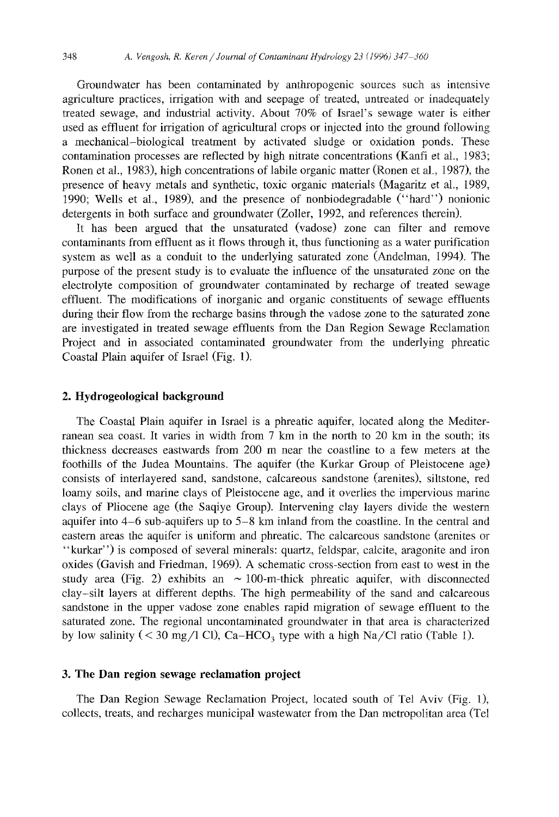Groundwater has been contaminated by anthropogenic sources such as intensive agriculture practices, irrigation with and seepage of treated, untreated or inadequately treated sewage, and industrial activity. About 70% of Israel's sewage water is either used as effluent for irrigation of agricultural crops or injected into the ground following a mechanical-biological treatment by activated sludge or oxidation ponds. These contamination processes are reflected by high nitrate concentrations (Kanfi et aI., 1983; Ronen et aI., 1983), high concentrations of labile organic matter (Ronen et aI., 1987), the presence of heavy metals and synthetic, toxic organic materials (Magaritz et aI., 1989, 1990; Wells et aI., 1989), and the presence of nonbiodegradable ("hard") nonionic detergents in both surface and groundwater (Zoller, 1992, and references therein).

It has been argued that the unsaturated (vadose) zone can filter and remove contaminants from effluent as it flows through it, thus functioning as a water purification system as well as a conduit to the underlying saturated zone (Andelman, 1994). The purpose of the present study is to evaluate the influence of the unsaturated zone on the electrolyte composition of groundwater contaminated by recharge of treated sewage effluent. The modifications of inorganic and organic constituents of sewage effluents during their flow from the recharge basins through the vadose zone to the saturated zone are investigated in treated sewage effluents from the Dan Region Sewage Reclamation Project and in associated contaminated groundwater from the underlying phreatic Coastal Plain aquifer of Israel (Fig. 1).

### **2. Hydrogeological background**

The Coastal Plain aquifer in Israel is a phreatic aquifer, located along the Mediterranean sea coast. It varies in width from 7 km in the north to 20 km in the south; its thickness decreases eastwards from 200 m near the coastline to a few meters at the foothills of the Judea Mountains. The aquifer (the Kurkar Group of Pleistocene age) consists of interlayered sand, sandstone, calcareous sandstone (arenites), siltstone, red loamy soils, and marine clays of Pleistocene age, and it overlies the impervious marine clays of Pliocene age (the Saqiye Group). Intervening clay layers divide the western aquifer into  $4-6$  sub-aquifers up to  $5-8$  km inland from the coastline. In the central and eastern areas the aquifer is uniform and phreatic. The calcareous sandstone (arenites or "kurkar") is composed of several minerals: quartz, feldspar, calcite, aragonite and iron oxides (Gavish and Friedman, 1969). A schematic cross-section from east to west in the study area (Fig. 2) exhibits an  $\sim 100$ -m-thick phreatic aquifer, with disconnected clay-silt layers at different depths. The high permeability of the sand and calcareous sandstone in the upper vadose zone enables rapid migration of sewage effluent to the saturated zone. The regional uncontaminated groundwater in that area is characterized by low salinity ( < 30 mg/l Cl), Ca-HCO<sub>3</sub> type with a high Na/Cl ratio (Table 1).

### 3. **The Dan region** sewage **reclamation project**

The Dan Region Sewage Reclamation Project, located south of Tel Aviv (Fig. 1), collects, treats, and recharges municipal wastewater from the Dan metropolitan area (Tel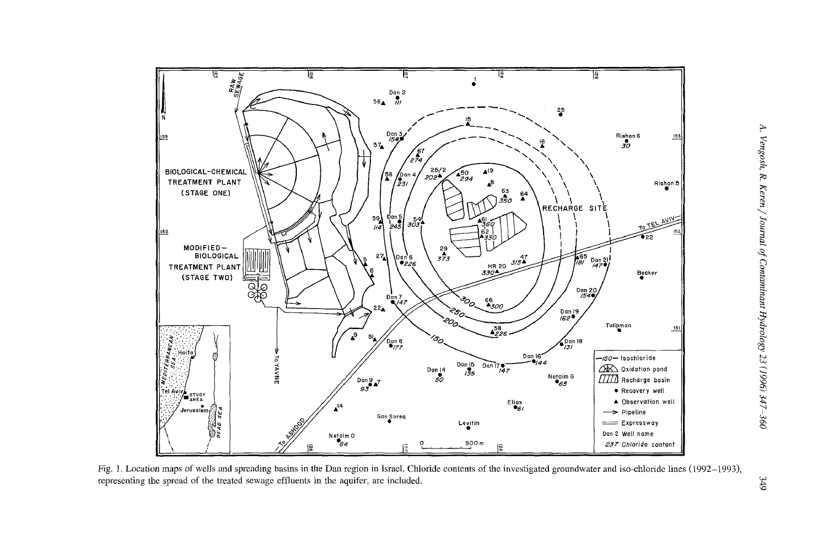

Fig. 1. Location maps of wells and spreading basins in the Dan region in Israel. Chloride contents of the investigated groundwater and iso-chloride lines (1992-1993), representing the spread of the treated sewage effluents in the aquifer, are included.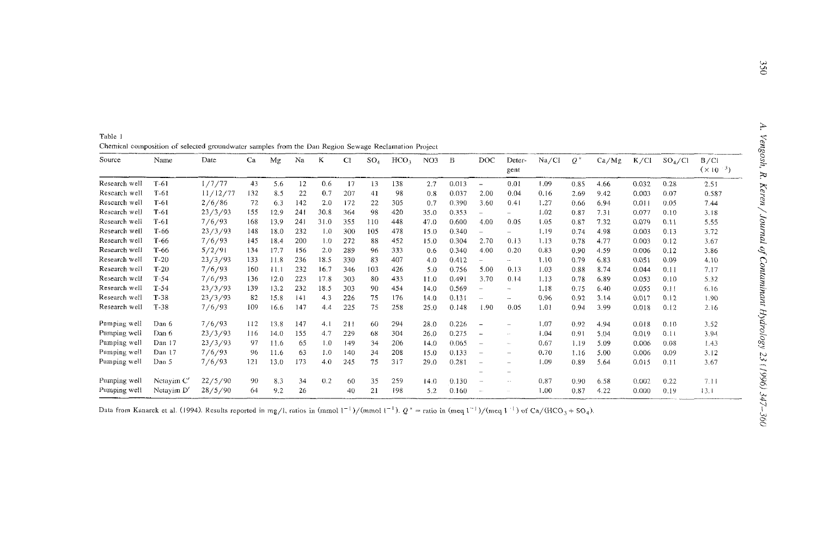Table I **Chemical composition of selected groundwater samples from the Dan Region Sewage Reclamation Projecl** 

| Source        | Name       | Date     | Ca  | Мg   | Na  | К    | СI  | SO <sub>A</sub> | HCO <sub>3</sub> | NO3  | B     | DOC                      | Deter-<br>gent           | Na/Cl | $Q^*$ | Ca/Mg | K/C1  | $SO_4$ /Cl | B/C1<br>$(x10^{-3})$ |
|---------------|------------|----------|-----|------|-----|------|-----|-----------------|------------------|------|-------|--------------------------|--------------------------|-------|-------|-------|-------|------------|----------------------|
| Research well | $T-61$     | 1/7/77   | 43  | 5.6  | 12  | 0.6  | 17  | 13              | 138              | 2.7  | 0.013 | $\overline{\phantom{m}}$ | 0.01                     | 1.09  | 0.85  | 4.66  | 0.032 | 0.28       | 2.51                 |
| Research well | $T-61$     | 11/12/77 | 132 | 8.5  | 22  | 0.7  | 207 | 41              | 98               | 0.8  | 0.037 | 2.00                     | 0.04                     | 0.16  | 2.69  | 9.42  | 0.003 | 0.07       | 0.587                |
| Research well | $T-61$     | 2/6/86   | 72  | 6.3  | 142 | 2.0  | 172 | 22              | 305              | 0.7  | 0.390 | 3.60                     | 0.41                     | 1.27  | 0.66  | 6.94  | 0.011 | 0.05       | 7.44                 |
| Research well | $T-61$     | 23/3/93  | 155 | 12.9 | 241 | 30.8 | 364 | 98              | 420              | 35.0 | 0.353 | $\overline{\phantom{0}}$ | $\overline{\phantom{0}}$ | 1.02  | 0.87  | 7.31  | 0.077 | 0.10       | 3.18                 |
| Research well | $T-61$     | 7/6/93   | 168 | 13.9 | 241 | 31.0 | 355 | 110             | 448              | 47.0 | 0.600 | 4.00                     | 0.05                     | 1.05  | 0.87  | 7.32  | 0.079 | 0.11       | 5.55                 |
| Research well | $T-66$     | 23/3/93  | 148 | 18.0 | 232 | 1.0  | 300 | 105             | 478              | 15.0 | 0.340 | $\overline{\phantom{m}}$ | $\overline{\phantom{0}}$ | 1.19  | 0.74  | 4.98  | 0.003 | 0.13       | 3.72                 |
| Research well | $T-66$     | 7/6/93   | 145 | 18.4 | 200 | 1.0  | 272 | 88              | 452              | 15.0 | 0.304 | 2.70                     | 0.13                     | 1.13  | 0.78  | 4.77  | 0.003 | 0.12       | 3.67                 |
| Research well | T-66       | 5/2/91   | 134 | 17.7 | 156 | 2.0  | 289 | 96              | 333              | 0.6  | 0.340 | 4.00                     | 0.20                     | 0.83  | 0.90  | 4.59  | 0.006 | 0.12       | 3.86                 |
| Research well | $T-20$     | 23/3/93  | 133 | 11.8 | 236 | 18.5 | 330 | 83              | 407              | 4.0  | 0.412 | $\overline{\phantom{0}}$ | <b>Color</b>             | 1.10  | 0.79  | 6.83  | 0.051 | 0.09       | 4.10                 |
| Research well | $T-20$     | 7/6/93   | 160 | 11.1 | 232 | 16.7 | 346 | 103             | 426              | 5.0  | 0.756 | 5.00                     | 0.13                     | 1.03  | 0.88  | 8.74  | 0.044 | 0.11       | 7.17                 |
| Research well | $T-54$     | 7/6/93   | 136 | 12.0 | 223 | 17.8 | 303 | 80              | 433              | 11.0 | 0.491 | 3.70                     | 0.14                     | 1.13  | 0.78  | 6.89  | 0.053 | 0.10       | 5.32                 |
| Research well | $T-54$     | 23/3/93  | 139 | 13.2 | 232 | 18.5 | 303 | 90              | 454              | 14.0 | 0.569 | $\overline{\phantom{a}}$ | $\overline{\phantom{a}}$ | 1.18  | 0.75  | 6.40  | 0.055 | 0.11       | 6.16                 |
| Research well | $T-38$     | 23/3/93  | 82  | 15.8 | 141 | 4.3  | 226 | 75              | 176              | 14.0 | 0.131 | $\sim$                   | $\sim$                   | 0.96  | 0.92  | 3.14  | 0.017 | 0.12       | 1.90                 |
| Research well | $T-38$     | 7/6/93   | 109 | 16.6 | 147 | 4,4  | 225 | 75              | 258              | 25.0 | 0.148 | 1.90                     | 0.05                     | 1.01  | 0.94  | 3.99  | 0.018 | 0.12       | 2.16                 |
| Pumping well  | Dan 6      | 7/6/93   | 112 | 13.8 | 147 | 4.1  | 211 | 60              | 294              | 28.0 | 0.226 | $\overline{\phantom{a}}$ | $\overline{\phantom{0}}$ | 1.07  | 0.92  | 4.94  | 0.018 | 0.10       | 3.52                 |
| Pumping well  | Dan 6      | 23/3/93  | 116 | 14.0 | 155 | 4.7  | 229 | 68              | 304              | 26.0 | 0.275 | $\overline{\phantom{a}}$ | $\ddot{\phantom{a}}$     | 1.04  | 0.91  | 5.04  | 0.019 | 0.11       | 3.94                 |
| Pumping well  | Dan 17     | 23/3/93  | 97  | 11.6 | 65  | 1.0  | 149 | 34              | 206              | 14.0 | 0.065 | $\sim$                   | $\sim$ $\sim$            | 0.67  | 1.19  | 5.09  | 0.006 | 0.08       | 1.43                 |
| Pumping well  | Dan 17     | 7/6/93   | 96  | 11.6 | 63  | 1.0  | 140 | 34              | 208              | 15.0 | 0.133 | $\overline{\phantom{a}}$ | $\overline{\phantom{0}}$ | 0.70  | 1.16  | 5.00  | 0.006 | 0.09       | 3.12                 |
| Pumping well  | Dan 5      | 7/6/93   | 121 | 13.0 | 173 | 4.0  | 245 | 75              | 317              | 29.0 | 0.281 | $\sim$                   | $\overline{\phantom{0}}$ | 1.09  | 0.89  | 5.64  | 0.015 | 0.11       | 3.67                 |
| Pumping well  | Netayim C' | 22/5/90  | 90  | 8.3  | 34  | 0.2  | 60  | 35              | 259              | 14.0 | 0.130 | $\sim$                   | $\overline{\phantom{0}}$ | 0.87  | 0.90  | 6.58  | 0.002 | 0.22       | 7.11                 |
| Pumping well  | Netayim D  | 28/5/90  | -64 | 9.2  | 26  |      | 40  | 21              | 198              | 5.2  | 0.160 | Mr.                      | $\sim$ $\sim$            | 1.00  | 0.87  | 4.22  | 0.000 | 0.19       | 13.1                 |

Data from Kanarck et al. (1994). Results reported in mg/l, ratios in (mmol  $1^{-1}$ )/(mmol  $1^{-1}$ ).  $Q^*$  = ratio in (meq  $1^{-1}$ )/(meq  $1^{-1}$ ) of Ca/(HCO<sub>3</sub> + SO<sub>4</sub>).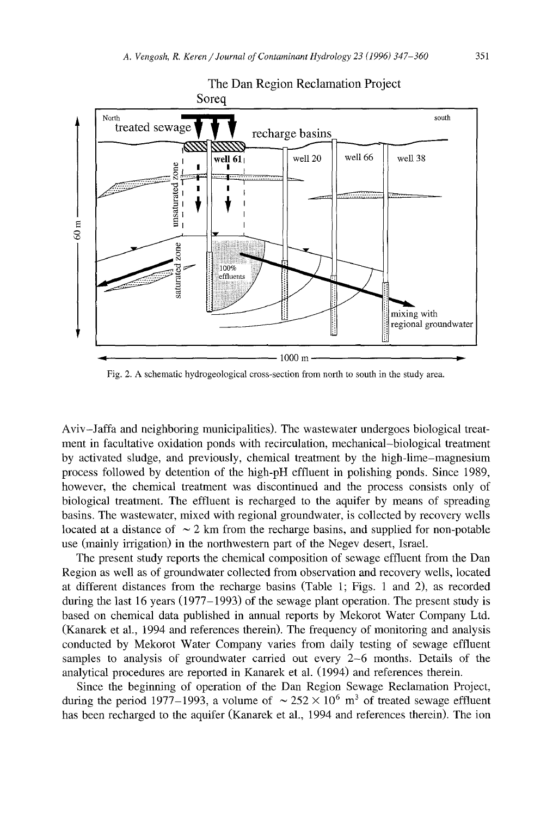

# The Dan Region Reclamation Project

Fig. 2. A schematic hydrogeological cross-section from north to south in the study area.

Aviv-Jaffa and neighboring municipalities). The wastewater undergoes biological treatment in facultative oxidation ponds with recirculation, mechanical-biological treatment by activated sludge, and previously, chemical treatment by the high-lime-magnesium process followed by detention of the high-pH effluent in polishing ponds. Since 1989, however, the chemical treatment was discontinued and the process consists only of biological treatment. The effluent is recharged to the aquifer by means of spreading basins. The wastewater, mixed with regional groundwater, is collected by recovery wells located at a distance of  $\sim$  2 km from the recharge basins, and supplied for non-potable use (mainly irrigation) in the northwestern part of the Negev desert, Israel.

The present study reports the chemical composition of sewage effluent from the Dan Region as well as of groundwater collected from observation and recovery wells, located at different distances from the recharge basins (Table 1; Figs. 1 and 2), as recorded during the last 16 years  $(1977 - 1993)$  of the sewage plant operation. The present study is based on chemical data published in annual reports by Mekorot Water Company Ltd. (Kanarek et aI., 1994 and references therein). The frequency of monitoring and analysis conducted by Mekorot Water Company varies from daily testing of sewage effluent samples to analysis of groundwater carried out every 2-6 months. Details of the analytical procedures are reported in Kanarek et al. (1994) and references therein.

Since the beginning of operation of the Dan Region Sewage Reclamation Project, during the period 1977–1993, a volume of  $\sim 252 \times 10^6$  m<sup>3</sup> of treated sewage effluent has been recharged to the aquifer (Kanarek et al., 1994 and references therein). The ion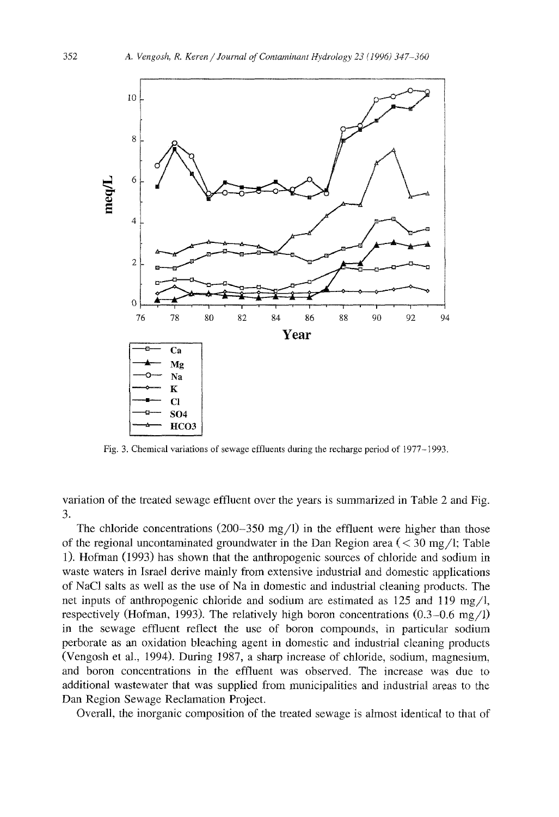

Fig. 3. Chemical variations of sewage effluents during the recharge period of 1977-1993.

variation of the treated sewage effluent over the years is summarized in Table 2 and Fig. 3.

The chloride concentrations  $(200-350 \text{ mg}/1)$  in the effluent were higher than those of the regional uncontaminated groundwater in the Dan Region area  $(< 30 \text{ mg/l}; \text{Table}$ 1). Hofman (1993) has shown that the anthropogenic sources of chloride and sodium in waste waters in Israel derive mainly from extensive industrial and domestic applications of NaCI salts as well as the use of Na in domestic and industrial cleaning products. The net inputs of anthropogenic chloride and sodium are estimated as  $125$  and  $119$  mg/l, respectively (Hofman, 1993). The relatively high boron concentrations  $(0.3-0.6 \text{ mg}/1)$ in the sewage effluent reflect the use of boron compounds, in particular sodium perborate as an oxidation bleaching agent in domestic and industrial cleaning products (Vengosh et aI., 1994). During 1987, a sharp increase of chloride, sodium, magnesium, and boron concentrations in the effluent was observed. The increase was due to additional wastewater that was supplied from municipalities and industrial areas to the Dan Region Sewage Reclamation Project.

Overall, the inorganic composition of the treated sewage is almost identical to that of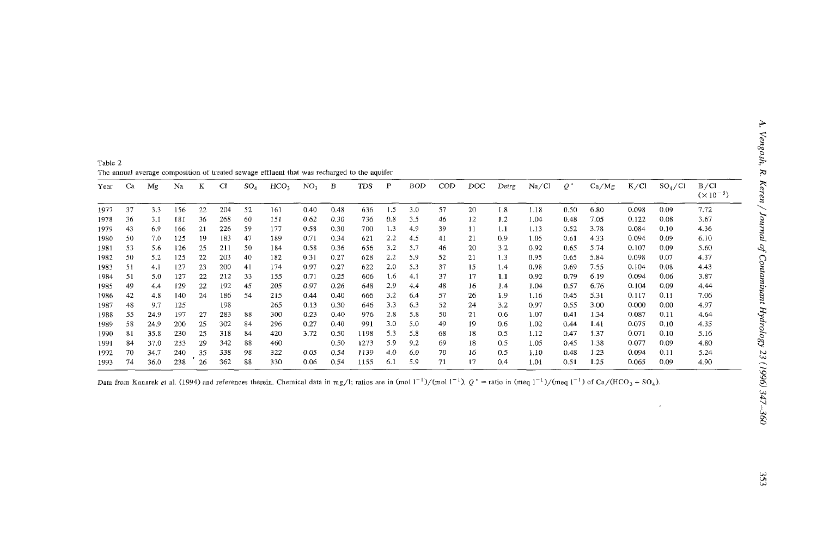| Table 2                                                                                     |  |  |
|---------------------------------------------------------------------------------------------|--|--|
| The annual average composition of treated sewage effluent that was recharged to the aquifer |  |  |

|      |    |      |     |    |     |                 |                  |                 | ັ    |      |     |            |     |     |       |       |       |       |       |            |                            |
|------|----|------|-----|----|-----|-----------------|------------------|-----------------|------|------|-----|------------|-----|-----|-------|-------|-------|-------|-------|------------|----------------------------|
| Year | Ca | Mg   | Na  | K  | CI  | SO <sub>4</sub> | HCO <sub>3</sub> | NO <sub>3</sub> | В    | TDS  | P   | <b>BOD</b> | COD | DOC | Detrg | Na/Cl | $Q^*$ | Ca/Mg | K/C1  | $SO_4$ /Cl | B/C1<br>$(\times 10^{-3})$ |
| 1977 | 37 | 3.3  | 156 | 22 | 204 | 52              | 161              | 0.40            | 0.48 | 636  | 1.5 | 3.0        | 57  | 20  | 1.8   | 1.18  | 0.50  | 6.80  | 0.098 | 0.09       | 7.72                       |
| 1978 | 36 | 3.1  | 181 | 36 | 268 | 60              | 151              | 0.62            | 0.30 | 736  | 0.8 | 3.5        | 46  | 12  | 1.2   | 1.04  | 0.48  | 7.05  | 0.122 | 0.08       | 3.67                       |
| 1979 | 43 | 6.9  | 166 | 21 | 226 | 59              | 177              | 0.58            | 0.30 | 700  | 1.3 | 4.9        | 39  | 11  | 1.1   | 1.13  | 0.52  | 3.78  | 0.084 | 0.10       | 4.36                       |
| 1980 | 50 | 7.0  | 125 | 19 | 183 | 47              | 189              | 0.71            | 0.34 | 621  | 2.2 | 4.5        | 41  | 21  | 0.9   | 1.05  | 0.61  | 4.33  | 0.094 | 0.09       | 6.10                       |
| 1981 | 53 | 5.6  | 126 | 25 | 211 | 50              | 184              | 0.58            | 0.36 | 656  | 3.2 | 5.7        | 46  | 20  | 3.2   | 0.92  | 0.65  | 5.74  | 0.107 | 0.09       | 5.60                       |
| 1982 | 50 | 5.2  | 125 | 22 | 203 | 40              | 182              | 0.31            | 0.27 | 628  | 2.2 | 5.9        | 52  | 21  | 1.3   | 0.95  | 0.65  | 5.84  | 0.098 | 0.07       | 4.37                       |
| 1983 | 51 | 4.1  | 127 | 23 | 200 | 41              | 174              | 0.97            | 0.27 | 622  | 2.0 | 5.3        | 37  | 15  | 1.4   | 0.98  | 0.69  | 7.55  | 0.104 | 0.08       | 4.43                       |
| 1984 | 51 | 5.0  | 127 | 22 | 212 | 33              | 155              | 0.71            | 0.25 | 606  | 1.6 | 4.1        | 37  | 17  | 1.1   | 0.92  | 0.79  | 6.19  | 0.094 | 0.06       | 3.87                       |
| 1985 | 49 | 4.4  | 129 | 22 | 192 | 45              | 205              | 0.97            | 0.26 | 648  | 2.9 | 4,4        | 48  | 16  | 1.4   | 1.04  | 0.57  | 6.76  | 0.104 | 0.09       | 4.44                       |
| 1986 | 42 | 4.8  | 140 | 24 | 186 | 54              | 215              | 0.44            | 0.40 | 666  | 3.2 | 6.4        | 57  | 26  | 1.9   | 1.16  | 0.45  | 5.31  | 0.117 | 0.11       | 7.06                       |
| 1987 | 48 | 9.7  | 125 |    | 198 |                 | 265              | 0.13            | 0.30 | 646  | 3.3 | 6.3        | 52  | 24  | 3.2   | 0.97  | 0.55  | 3.00  | 0.000 | 0.00       | 4.97                       |
| 1988 | 55 | 24.9 | 197 | 27 | 283 | 88              | 300              | 0.23            | 0.40 | 976  | 2.8 | 5.8        | 50  | 21  | 0.6   | 1.07  | 0.41  | 1.34  | 0.087 | 0.11       | 4.64                       |
| 1989 | 58 | 24.9 | 200 | 25 | 302 | 84              | 296              | 0.27            | 0.40 | 991  | 3.0 | 5.0        | 49  | 19  | 0.6   | 1.02  | 0.44  | 1.41  | 0.075 | 0.10       | 4.35                       |
| 1990 | 81 | 35.8 | 230 | 25 | 318 | 84              | 420              | 3.72            | 0.50 | 1198 | 5.3 | 5.8        | 68  | 18  | 0.5   | 1.12  | 0.47  | 1.37  | 0.071 | 0.10       | 5.16                       |
| 1991 | 84 | 37.0 | 233 | 29 | 342 | 88              | 460              |                 | 0.50 | 1273 | 5.9 | 9.2        | 69  | 18  | 0.5   | 1.05  | 0.45  | 1.38  | 0.077 | 0.09       | 4.80                       |
| 1992 | 70 | 34.7 | 240 | 35 | 338 | 98              | 322              | 0.05            | 0.54 | 1139 | 4.0 | 6.0        | 70  | 16  | 0.5   | 1.10  | 0.48  | 1.23  | 0.094 | 0.11       | 5.24                       |
| 1993 | 74 | 36.0 | 238 | 26 | 362 | 88              | 330              | 0.06            | 0.54 | 1155 | 6.1 | 5.9        | 71  | 17  | 0.4   | 1.01  | 0.51  | 1.25  | 0.065 | 0.09       | 4.90                       |

Data from Kanarek et al. (1994) and references therein. Chemical data in mg/l; ratios are in (mol  $1^{-1}$ )/(mol  $1^{-1}$ ).  $Q^*$  = ratio in (meq  $1^{-1}$ )/(meq  $1^{-1}$ ) of Ca/(HCO<sub>3</sub> + SO<sub>4</sub>).

 $\mathbb{R}^2$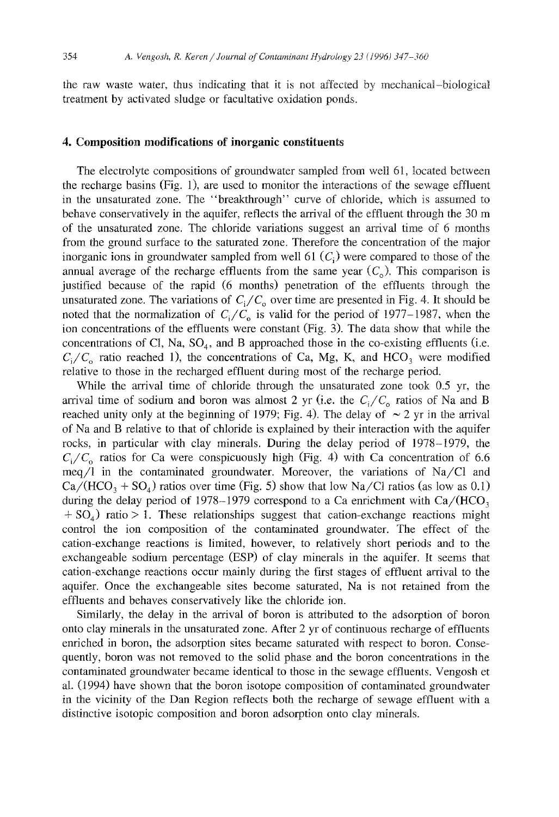the raw waste water, thus indicating that it is not affected by mechanical-biological treatment by activated sludge or facultative oxidation ponds.

## 4. Composition modifications of **inorganic** constituents

The electrolyte compositions of groundwater sampled from well 61, located between the recharge basins (Fig. 1), are used to monitor the interactions of the sewage effluent in the unsaturated zone. The "breakthrough" curve of chloride, which is assumed to behave conservatively in the aquifer, reflects the arrival of the effluent through the 30 m of the unsaturated zone. The chloride variations suggest an arrival time of 6 months from the ground surface to the saturated zone. Therefore the concentration of the major inorganic ions in groundwater sampled from well  $61$   $(C<sub>i</sub>)$  were compared to those of the annual average of the recharge effluents from the same year  $(C_0)$ . This comparison is justified because of the rapid (6 months) penetration of the effluents through the unsaturated zone. The variations of  $C_i/C_0$  over time are presented in Fig. 4. It should be noted that the normalization of  $C_i/C_0$  is valid for the period of 1977-1987, when the ion concentrations of the effluents were constant (Fig. 3). The data show that while the concentrations of Cl, Na,  $SO_4$ , and B approached those in the co-existing effluents (i.e.  $C_i/C_0$  ratio reached 1), the concentrations of Ca, Mg, K, and HCO<sub>3</sub> were modified relative to those in the recharged effluent during most of the recharge period.

While the arrival time of chloride through the unsaturated zone took 0.5 yr, the arrival time of sodium and boron was almost 2 yr (i.e. the  $C_i/C_0$  ratios of Na and B reached unity only at the beginning of 1979; Fig. 4). The delay of  $\sim$  2 yr in the arrival of Na and B relative to that of chloride is explained by their interaction with the aquifer rocks, in particular with clay minerals. During the delay period of 1978-1979, the  $C_i/C_0$  ratios for Ca were conspicuously high (Fig. 4) with Ca concentration of 6.6 meq/l in the contaminated groundwater. Moreover, the variations of Na/Cl and  $Ca/(HCO<sub>3</sub> + SO<sub>4</sub>)$  ratios over time (Fig. 5) show that low Na/Cl ratios (as low as 0.1) during the delay period of 1978–1979 correspond to a Ca enrichment with  $Ca/(HCO<sub>3</sub>)$  $+ SO<sub>4</sub>$ ) ratio > 1. These relationships suggest that cation-exchange reactions might control the ion composition of the contaminated groundwater. The effect of the cation-exchange reactions is limited, however, to relatively short periods and to the exchangeable sodium percentage (ESP) of clay minerals in the aquifer. It seems that cation-exchange reactions occur mainly during the first stages of effluent arrival to the aquifer. Once the exchangeable sites become saturated, Na is not retained from the effluents and behaves conservatively like the chloride ion.

Similarly, the delay in the arrival of boron is attributed to the adsorption of boron onto clay minerals in the unsaturated zone. After 2 yf of continuous recharge of effluents enriched in boron, the adsorption sites became saturated with respect to boron. Consequently, boron was not removed to the solid phase and the boron concentrations in the contaminated groundwater became identical to those in the sewage effluents. Vengosh et al. (1994) have shown that the boron isotope composition of contaminated groundwater in the vicinity of the Dan Region reflects both the recharge of sewage effluent with a distinctive isotopic composition and boron adsorption onto clay minerals.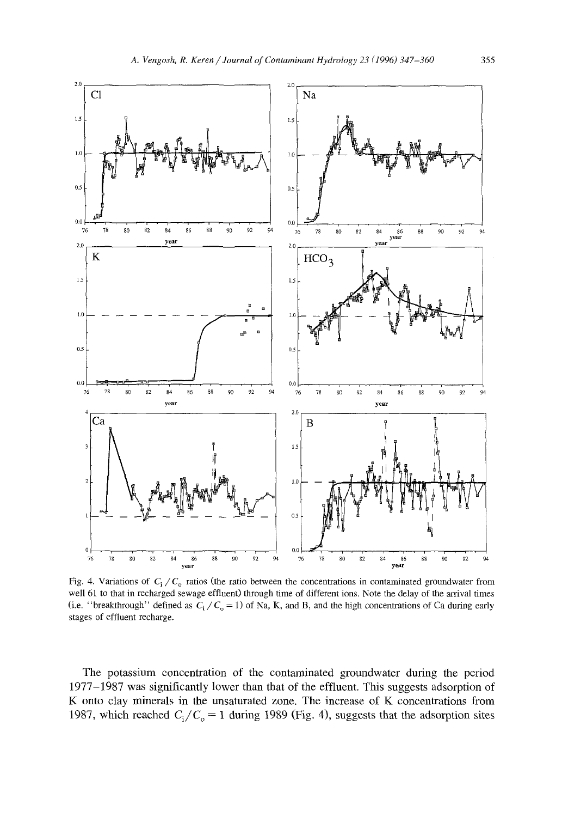

Fig. 4. Variations of  $C_i/C_0$  ratios (the ratio between the concentrations in contaminated groundwater from well 61 to that in recharged sewage effluent) through time of different ions. Note the delay of the arrival times (i.e. "breakthrough" defined as  $C_i/C_0 = 1$ ) of Na, K, and B, and the high concentrations of Ca during early stages of effluent recharge.

The potassium concentration of the contaminated groundwater during the period 1977–1987 was significantly lower than that of the effluent. This suggests adsorption of K onto clay minerals in the unsaturated zone. The increase of K concentrations from 1987, which reached  $C_i/C_o = 1$  during 1989 (Fig. 4), suggests that the adsorption sites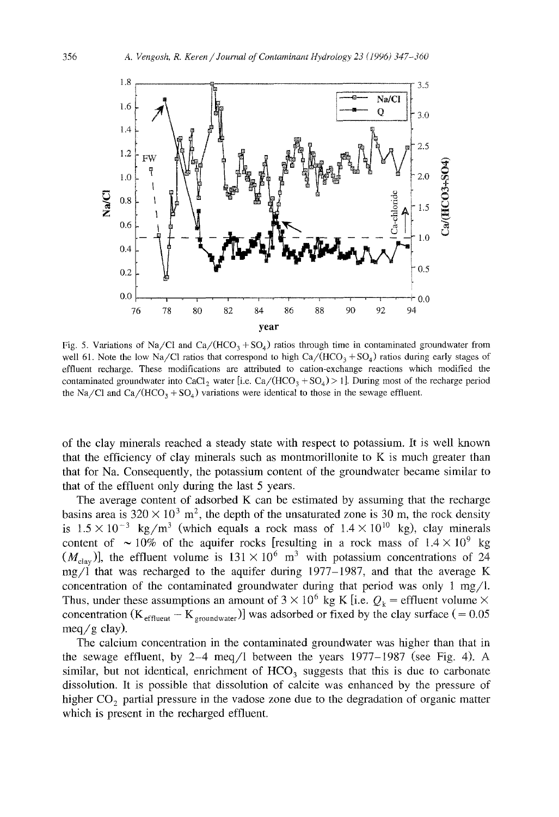

Fig. 5. Variations of Na/Cl and Ca/(HCO<sub>3</sub> + SO<sub>4</sub>) ratios through time in contaminated groundwater from well 61. Note the low Na/Cl ratios that correspond to high  $Ca/(HCO<sub>3</sub> + SO<sub>4</sub>)$  ratios during early stages of effluent recharge. These modifications are attributed to cation-exchange reactions which modified the contaminated groundwater into CaCl<sub>2</sub> water [i.e. Ca/(HCO<sub>3</sub> + SO<sub>4</sub>) > 1]. During most of the recharge period the Na/Cl and Ca/(HCO<sub>3</sub> + SO<sub>4</sub>) variations were identical to those in the sewage effluent.

of the clay minerals reached a steady state with respect to potassium. It is well known that the efficiency of clay minerals such as montmorillonite to K is much greater than that for Na. Consequently, the potassium content of the groundwater became similar to that of the effluent only during the last 5 years.

The average content of adsorbed K can be estimated by assuming that the recharge basins area is  $320 \times 10^3$  m<sup>2</sup>, the depth of the unsaturated zone is 30 m, the rock density is  $1.5 \times 10^{-3}$  kg/m<sup>3</sup> (which equals a rock mass of  $1.4 \times 10^{10}$  kg), clay minerals content of  $\sim 10\%$  of the aquifer rocks [resulting in a rock mass of  $1.4 \times 10^9$  kg  $(M<sub>clav</sub>)$ , the effluent volume is  $131 \times 10^6$  m<sup>3</sup> with potassium concentrations of 24 mg/l that was recharged to the aquifer during 1977-1987, and that the average K concentration of the contaminated groundwater during that period was only 1 mg/l. Thus, under these assumptions an amount of  $3 \times 10^6$  kg K [i.e.  $Q_k$  = effluent volume  $\times$ concentration  $(K_{\text{effluent}} - K_{\text{groundwater}})$ ] was adsorbed or fixed by the clay surface (= 0.05 meq/g clay).

The calcium concentration in the contaminated groundwater was higher than that in the sewage effluent, by 2-4 meq/l between the years  $1977-1987$  (see Fig. 4). A similar, but not identical, enrichment of  $HCO<sub>3</sub>$  suggests that this is due to carbonate dissolution. It is possible that dissolution of calcite was enhanced by the pressure of higher  $CO<sub>2</sub>$  partial pressure in the vadose zone due to the degradation of organic matter which is present in the recharged effluent.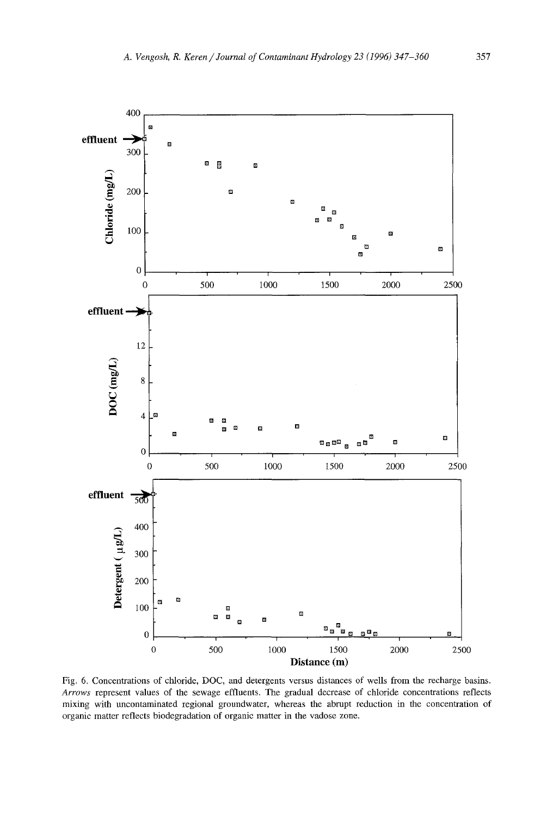

Fig. 6. Concentrations of chloride, DOC, and detergents versus distances of wells from the recharge basins. *Arrows* represent values of the sewage effluents. The gradual decrease of chloride concentrations reflects mixing with uncontaminated regional groundwater, whereas the abrupt reduction in the concentration of organic matter reflects biodegradation of organic matter in the vadose zone.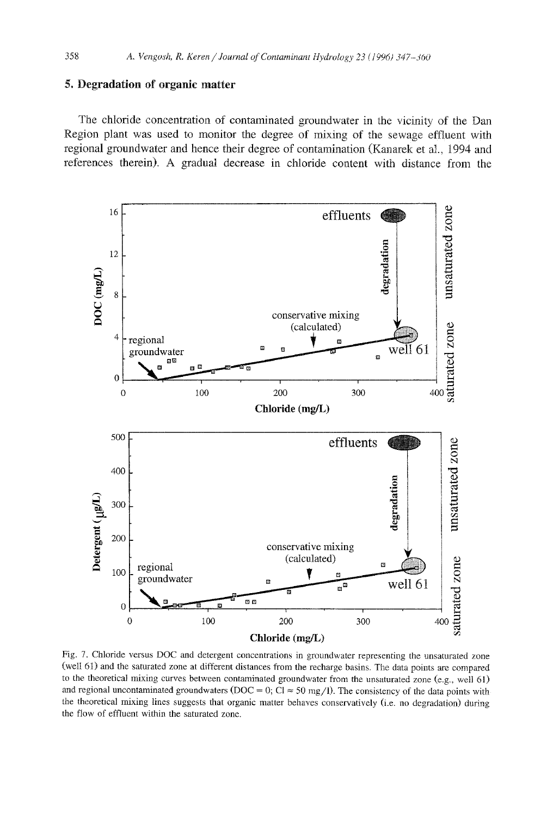### 5. Degradation of organic matter

The chloride concentration of contaminated groundwater in the vicinity of the Dan Region plant was used to monitor the degree of mixing of the sewage effluent with regional groundwater and hence their degree of contamination (Kanarek et al., 1994 and references therein). A gradual decrease in chloride content with distance from the



Fig. 7. Chloride versus DOC and detergent concentrations in groundwater representing the unsaturated zone (well 61) and the saturated zone at different distances from the recharge basins. The data points are compared to the theoretical mixing curves between contaminated groundwater from the unsaturated zone (e.g., well 61) and regional uncontaminated groundwaters (DOC = 0; Cl  $\approx$  50 mg/l). The consistency of the data points with the theoretical mixing lines suggests that organic matter behaves conservatively (i.e. no degradation) during the flow of effluent within the saturated zone.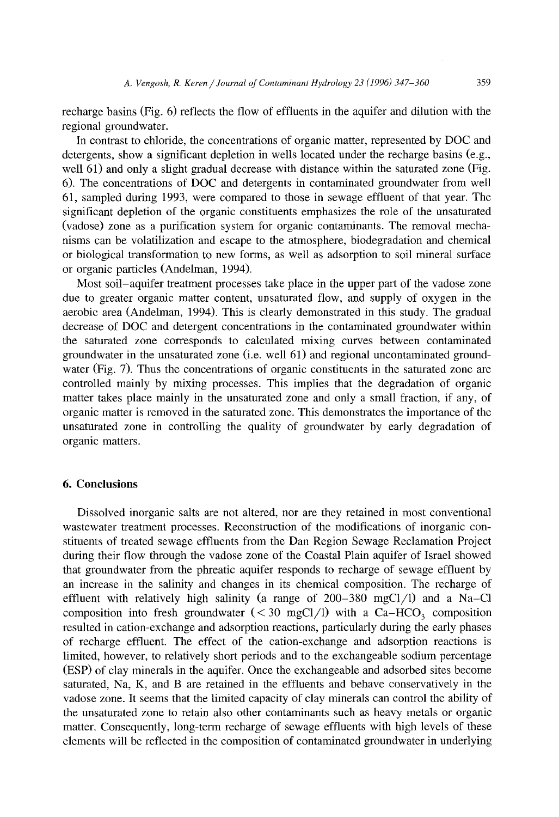recharge basins (Fig. 6) reflects the flow of effluents in the aquifer and dilution with the regional groundwater.

In contrast to chloride, the concentrations of organic matter, represented by DOC and detergents, show a significant depletion in wells located under the recharge basins (e.g., well 61) and only a slight gradual decrease with distance within the saturated zone (Fig. 6). The concentrations of DOC and detergents in contaminated groundwater from well 61, sampled during 1993, were compared to those in sewage effluent of that year. The significant depletion of the organic constituents emphasizes the role of the unsaturated (vadose) zone as a purification system for organic contaminants. The removal mechanisms can be volatilization and escape to the atmosphere, biodegradation and chemical or biological transformation to new forms, as well as adsorption to soil mineral surface or organic particles (Andelman, 1994).

Most soil-aquifer treatment processes take place in the upper part of the vadose zone due to greater organic matter content, unsaturated flow, and supply of oxygen in the aerobic area (Andelman, 1994). This is clearly demonstrated in this study. The gradual decrease of DOC and detergent concentrations in the contaminated groundwater within the saturated zone corresponds to calculated mixing curves between contaminated groundwater in the unsaturated zone (i.e. well 61) and regional uncontaminated groundwater (Fig. 7). Thus the concentrations of organic constituents in the saturated zone are controlled mainly by mixing processes. This implies that the degradation of organic matter takes place mainly in the unsaturated zone and only a small fraction, if any, of organic matter is removed in the saturated zone. This demonstrates the importance of the unsaturated zone in controlling the quality of groundwater by early degradation of organic matters.

# **6. Conclusions**

Dissolved inorganic salts are not altered, nor are they retained in most conventional wastewater treatment processes. Reconstruction of the modifications of inorganic constituents of treated sewage effluents from the Dan Region Sewage Reclamation Project during their flow through the vadose zone of the Coastal Plain aquifer of Israel showed that groundwater from the phreatic aquifer responds to recharge of sewage effluent by an increase in the salinity and changes in its chemical composition. The recharge of effluent with relatively high salinity (a range of  $200-380$  mgCl/l) and a Na-Cl composition into fresh groundwater  $(< 30 \text{ mgCl/l})$  with a Ca-HCO<sub>3</sub> composition resulted in cation-exchange and adsorption reactions, particularly during the early phases of recharge effluent. The effect of the cation-exchange and adsorption reactions is limited, however, to relatively short periods and to the exchangeable sodium percentage (ESP) of clay minerals in the aquifer. Once the exchangeable and adsorbed sites become saturated, Na, K, and B are retained in the effluents and behave conservatively in the vadose zone. It seems that the limited capacity of clay minerals can control the ability of the unsaturated zone to retain also other contaminants such as heavy metals or organic matter. Consequently, long-term recharge of sewage effluents with high levels of these elements will be reflected in the composition of contaminated groundwater in underlying